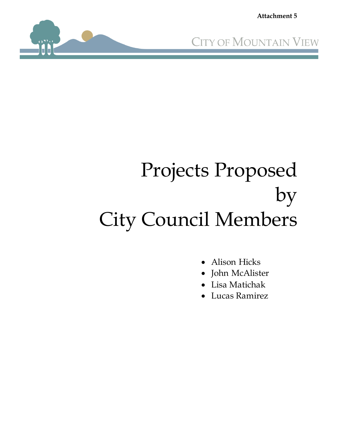**Attachment 5**





# Projects Proposed by City Council Members

- Alison Hicks
- John McAlister
- Lisa Matichak
- Lucas Ramirez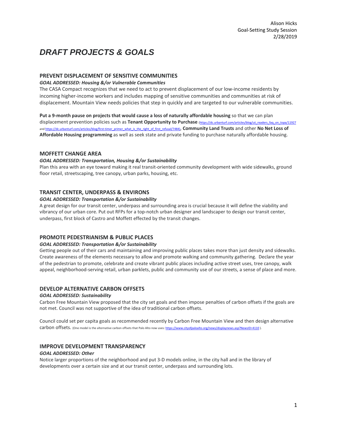## *DRAFT PROJECTS & GOALS*

#### **PREVENT DISPLACEMENT OF SENSITIVE COMMUNITIES**

#### *GOAL ADDRESSED: Housing &/or Vulnerable Communities*

The CASA Compact recognizes that we need to act to prevent displacement of our low-income residents by incoming higher-income workers and includes mapping of sensitive communities and communities at risk of displacement. Mountain View needs policies that step in quickly and are targeted to our vulnerable communities.

**Put a 9-month pause on projects that would cause a loss of naturally affordable housing** so that we can plan displacement prevention policies such as **Tenant Opportunity to Purchase** [\(https://dc.urbanturf.com/articles/blog/ut\\_readers\\_faq\\_on\\_topa/11927](https://dc.urbanturf.com/articles/blog/ut_readers_faq_on_topa/11927) an[d https://dc.urbanturf.com/articles/blog/first-timer\\_primer\\_what\\_is\\_the\\_right\\_of\\_first\\_refusal/7484\),](https://dc.urbanturf.com/articles/blog/first-timer_primer_what_is_the_right_of_first_refusal/7484) **Community Land Trusts** and other **No Net Loss of Affordable Housing programming** as well as seek state and private funding to purchase naturally affordable housing.

#### **MOFFETT CHANGE AREA**

#### *GOAL ADDRESSED: Transportation, Housing &/or Sustainability*

Plan this area with an eye toward making it real transit-oriented community development with wide sidewalks, ground floor retail, streetscaping, tree canopy, urban parks, housing, etc.

#### **TRANSIT CENTER, UNDERPASS & ENVIRONS**

#### *GOAL ADDRESSED: Transportation &/or Sustainability*

A great design for our transit center, underpass and surrounding area is crucial because it will define the viability and vibrancy of our urban core. Put out RFPs for a top-notch urban designer and landscaper to design our transit center, underpass, first block of Castro and Moffett effected by the transit changes.

#### **PROMOTE PEDESTRIANISM & PUBLIC PLACES**

#### *GOAL ADDRESSED: Transportation &/or Sustainability*

Getting people out of their cars and maintaining and improving public places takes more than just density and sidewalks. Create awareness of the elements necessary to allow and promote walking and community gathering. Declare the year of the pedestrian to promote, celebrate and create vibrant public places including active street uses, tree canopy, walk appeal, neighborhood-serving retail, urban parklets, public and community use of our streets, a sense of place and more.

#### **DEVELOP ALTERNATIVE CARBON OFFSETS**

#### *GOAL ADDRESSED: Sustainability*

Carbon Free Mountain View proposed that the city set goals and then impose penalties of carbon offsets if the goals are not met. Council was not supportive of the idea of traditional carbon offsets.

Council could set per capita goals as recommended recently by Carbon Free Mountain View and then design alternative Carbon offsets. (One model is the alternative carbon offsets that Palo Alto now uses[: https://www.cityofpaloalto.org/news/displaynews.asp?NewsID=4110](https://www.cityofpaloalto.org/news/displaynews.asp?NewsID=4110) ).

#### **IMPROVE DEVELOPMENT TRANSPARENCY**

#### *GOAL ADDRESSED: Other*

Notice larger proportions of the neighborhood and put 3-D models online, in the city hall and in the library of developments over a certain size and at our transit center, underpass and surrounding lots.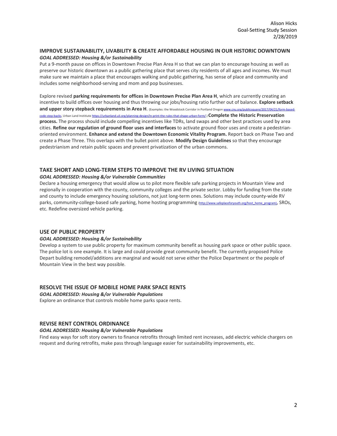#### **IMPROVE SUSTAINABILITY, LIVABILITY & CREATE AFFORDABLE HOUSING IN OUR HISTORIC DOWNTOWN** *GOAL ADDRESSED: Housing &/or Sustainability*

Put a 9-month pause on offices in Downtown Precise Plan Area H so that we can plan to encourage housing as well as preserve our historic downtown as a public gathering place that serves city residents of all ages and incomes. We must make sure we maintain a place that encourages walking and public gathering, has sense of place and community and includes some neighborhood-serving and mom and pop businesses.

Explore revised **parking requirements for offices in Downtown Precise Plan Area H**, which are currently creating an incentive to build offices over housing and thus throwing our jobs/housing ratio further out of balance. **Explore setback and upper story stepback requirements in Area H**. (Examples: the Woodstock Corridor in Portland Orego[n www.cnu.org/publicsquare/2017/04/21/form-based](https://www.cnu.org/publicsquare/2017/04/21/form-based-code-step-backs)[code-step-backs,](https://www.cnu.org/publicsquare/2017/04/21/form-based-code-step-backs) Urban Land Institiut[e https://urbanland.uli.org/planning-design/in-print-the-rules-that-shape-urban-form/.\)](https://urbanland.uli.org/planning-design/in-print-the-rules-that-shape-urban-form/) **Complete the Historic Preservation process.** The process should include compelling incentives like TDRs, land swaps and other best practices used by area cities. **Refine our regulation of ground floor uses and interfaces** to activate ground floor uses and create a pedestrianoriented environment. **Enhance and extend the Downtown Economic Vitality Program.** Report back on Phase Two and create a Phase Three. This overlaps with the bullet point above. **Modify Design Guidelines** so that they encourage pedestrianism and retain public spaces and prevent privatization of the urban commons.

#### **TAKE SHORT AND LONG-TERM STEPS TO IMPROVE THE RV LIVING SITUATION**

#### *GOAL ADDRESSED: Housing &/or Vulnerable Communities*

Declare a housing emergency that would allow us to pilot more flexible safe parking projects in Mountain View and regionally in cooperation with the county, community colleges and the private sector. Lobby for funding from the state and county to include emergency housing solutions, not just long-term ones. Solutions may include county-wide RV parks, community-college-based safe parking, home hosting programming [\(http://www.safeplaceforyouth.org/host\\_home\\_program\),](http://www.safeplaceforyouth.org/host_home_program) SROs, etc. Redefine oversized vehicle parking.

#### **USE OF PUBLIC PROPERTY**

#### *GOAL ADDRESSED: Housing &/or Sustainability*

Develop a system to use public property for maximum community benefit as housing park space or other public space. The police lot is one example. It is large and could provide great community benefit. The currently proposed Police Depart building remodel/additions are marginal and would not serve either the Police Department or the people of Mountain View in the best way possible.

#### **RESOLVE THE ISSUE OF MOBILE HOME PARK SPACE RENTS**

*GOAL ADDRESSED: Housing &/or Vulnerable Populations*

Explore an ordinance that controls mobile home parks space rents.

#### **REVISE RENT CONTROL ORDINANCE**

#### *GOAL ADDRESSED: Housing &/or Vulnerable Populations*

Find easy ways for soft story owners to finance retrofits through limited rent increases, add electric vehicle chargers on request and during retrofits, make pass through language easier for sustainability improvements, etc.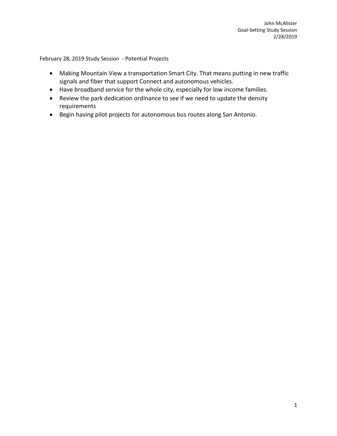February 28, 2019 Study Session - Potential Projects

- Making Mountain View a transportation Smart City. That means putting in new traffic signals and fiber that support Connect and autonomous vehicles.
- Have broadband service for the whole city, especially for low income families.
- Review the park dedication ordinance to see if we need to update the density requirements
- Begin having pilot projects for autonomous bus routes along San Antonio.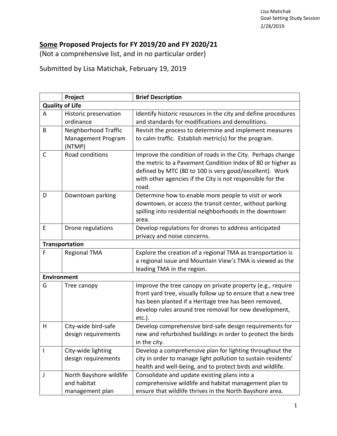### **Some Proposed Projects for FY 2019/20 and FY 2020/21**

(Not a comprehensive list, and in no particular order)

Submitted by Lisa Matichak, February 19, 2019

|                        | Project                                                   | <b>Brief Description</b>                                                                                                                                                                                                                                    |  |  |
|------------------------|-----------------------------------------------------------|-------------------------------------------------------------------------------------------------------------------------------------------------------------------------------------------------------------------------------------------------------------|--|--|
| <b>Quality of Life</b> |                                                           |                                                                                                                                                                                                                                                             |  |  |
| A                      | Historic preservation                                     | Identify historic resources in the city and define procedures                                                                                                                                                                                               |  |  |
|                        | ordinance                                                 | and standards for modifications and demolitions.                                                                                                                                                                                                            |  |  |
| B                      | Neighborhood Traffic<br>Management Program<br>(NTMP)      | Revisit the process to determine and implement measures<br>to calm traffic. Establish metric(s) for the program.                                                                                                                                            |  |  |
| C                      | Road conditions                                           | Improve the condition of roads in the City. Perhaps change<br>the metric to a Pavement Condition Index of 80 or higher as<br>defined by MTC (80 to 100 is very good/excellent). Work<br>with other agencies if the City is not responsible for the<br>road. |  |  |
| D                      | Downtown parking                                          | Determine how to enable more people to visit or work<br>downtown, or access the transit center, without parking<br>spilling into residential neighborhoods in the downtown<br>area.                                                                         |  |  |
| E                      | Drone regulations                                         | Develop regulations for drones to address anticipated<br>privacy and noise concerns.                                                                                                                                                                        |  |  |
| Transportation         |                                                           |                                                                                                                                                                                                                                                             |  |  |
| F                      | <b>Regional TMA</b>                                       | Explore the creation of a regional TMA as transportation is<br>a regional issue and Mountain View's TMA is viewed as the<br>leading TMA in the region.                                                                                                      |  |  |
| <b>Environment</b>     |                                                           |                                                                                                                                                                                                                                                             |  |  |
| G                      | Tree canopy                                               | Improve the tree canopy on private property (e.g., require<br>front yard tree, visually follow up to ensure that a new tree<br>has been planted if a Heritage tree has been removed,<br>develop rules around tree removal for new development,<br>etc.).    |  |  |
| H                      | City-wide bird-safe<br>design requirements                | Develop comprehensive bird-safe design requirements for<br>new and refurbished buildings in order to protect the birds<br>in the city.                                                                                                                      |  |  |
|                        | City-wide lighting<br>design requirements                 | Develop a comprehensive plan for lighting throughout the<br>city in order to manage light pollution to sustain residents'<br>health and well-being, and to protect birds and wildlife.                                                                      |  |  |
| J                      | North Bayshore wildlife<br>and habitat<br>management plan | Consolidate and update existing plans into a<br>comprehensive wildlife and habitat management plan to<br>ensure that wildlife thrives in the North Bayshore area.                                                                                           |  |  |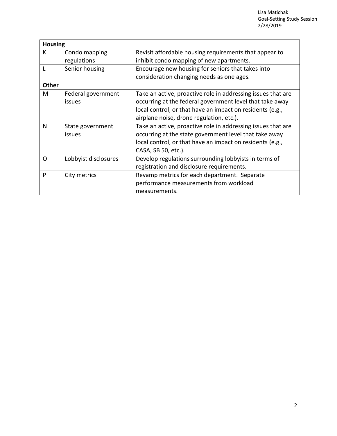| <b>Housing</b> |                      |                                                              |  |  |
|----------------|----------------------|--------------------------------------------------------------|--|--|
| K              | Condo mapping        | Revisit affordable housing requirements that appear to       |  |  |
|                | regulations          | inhibit condo mapping of new apartments.                     |  |  |
|                | Senior housing       | Encourage new housing for seniors that takes into            |  |  |
|                |                      | consideration changing needs as one ages.                    |  |  |
| Other          |                      |                                                              |  |  |
| M              | Federal government   | Take an active, proactive role in addressing issues that are |  |  |
|                | issues               | occurring at the federal government level that take away     |  |  |
|                |                      | local control, or that have an impact on residents (e.g.,    |  |  |
|                |                      | airplane noise, drone regulation, etc.).                     |  |  |
| N              | State government     | Take an active, proactive role in addressing issues that are |  |  |
|                | issues               | occurring at the state government level that take away       |  |  |
|                |                      | local control, or that have an impact on residents (e.g.,    |  |  |
|                |                      | CASA, SB 50, etc.).                                          |  |  |
| $\Omega$       | Lobbyist disclosures | Develop regulations surrounding lobbyists in terms of        |  |  |
|                |                      | registration and disclosure requirements.                    |  |  |
| P              | City metrics         | Revamp metrics for each department. Separate                 |  |  |
|                |                      | performance measurements from workload                       |  |  |
|                |                      | measurements.                                                |  |  |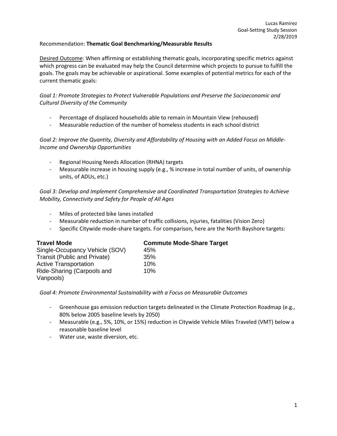#### Recommendation: **Thematic Goal Benchmarking/Measurable Results**

Desired Outcome: When affirming or establishing thematic goals, incorporating specific metrics against which progress can be evaluated may help the Council determine which projects to pursue to fulfill the goals. The goals may be achievable or aspirational. Some examples of potential metrics for each of the current thematic goals:

*Goal 1: Promote Strategies to Protect Vulnerable Populations and Preserve the Socioeconomic and Cultural Diversity of the Community*

- Percentage of displaced households able to remain in Mountain View (rehoused)
- Measurable reduction of the number of homeless students in each school district

*Goal 2: Improve the Quantity, Diversity and Affordability of Housing with an Added Focus on Middle-Income and Ownership Opportunities*

- Regional Housing Needs Allocation (RHNA) targets
- Measurable increase in housing supply (e.g., % increase in total number of units, of ownership units, of ADUs, etc.)

*Goal 3: Develop and Implement Comprehensive and Coordinated Transportation Strategies to Achieve Mobility, Connectivity and Safety for People of All Ages*

- Miles of protected bike lanes installed
- Measurable reduction in number of traffic collisions, injuries, fatalities (Vision Zero)
- Specific Citywide mode-share targets. For comparison, here are the North Bayshore targets:

| <b>Travel Mode</b>                  | <b>Commute Mode-Share Target</b> |  |
|-------------------------------------|----------------------------------|--|
| Single-Occupancy Vehicle (SOV)      | 45%                              |  |
| <b>Transit (Public and Private)</b> | 35%                              |  |
| <b>Active Transportation</b>        | 10%                              |  |
| Ride-Sharing (Carpools and          | 10%                              |  |
| Vanpools)                           |                                  |  |

#### *Goal 4: Promote Environmental Sustainability with a Focus on Measurable Outcomes*

- Greenhouse gas emission reduction targets delineated in the Climate Protection Roadmap (e.g., 80% below 2005 baseline levels by 2050)
- Measurable (e.g., 5%, 10%, or 15%) reduction in Citywide Vehicle Miles Traveled (VMT) below a reasonable baseline level
- Water use, waste diversion, etc.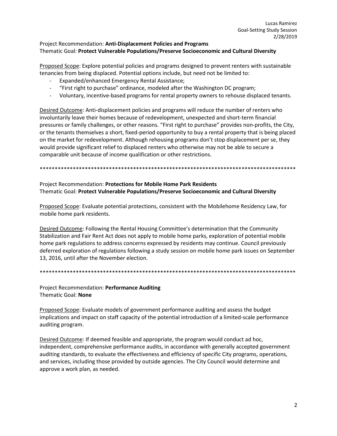#### Project Recommendation: **Anti-Displacement Policies and Programs** Thematic Goal: **Protect Vulnerable Populations/Preserve Socioeconomic and Cultural Diversity**

Proposed Scope: Explore potential policies and programs designed to prevent renters with sustainable tenancies from being displaced. Potential options include, but need not be limited to:

- Expanded/enhanced Emergency Rental Assistance;
- "First right to purchase" ordinance, modeled after the Washington DC program;
- Voluntary, incentive-based programs for rental property owners to rehouse displaced tenants.

Desired Outcome: Anti-displacement policies and programs will reduce the number of renters who involuntarily leave their homes because of redevelopment, unexpected and short-term financial pressures or family challenges, or other reasons. "First right to purchase" provides non-profits, the City, or the tenants themselves a short, fixed-period opportunity to buy a rental property that is being placed on the market for redevelopment. Although rehousing programs don't stop displacement per se, they would provide significant relief to displaced renters who otherwise may not be able to secure a comparable unit because of income qualification or other restrictions.

\*\*\*\*\*\*\*\*\*\*\*\*\*\*\*\*\*\*\*\*\*\*\*\*\*\*\*\*\*\*\*\*\*\*\*\*\*\*\*\*\*\*\*\*\*\*\*\*\*\*\*\*\*\*\*\*\*\*\*\*\*\*\*\*\*\*\*\*\*\*\*\*\*\*\*\*\*\*\*\*\*\*\*\*\*

Project Recommendation: **Protections for Mobile Home Park Residents** Thematic Goal: **Protect Vulnerable Populations/Preserve Socioeconomic and Cultural Diversity**

Proposed Scope: Evaluate potential protections, consistent with the Mobilehome Residency Law, for mobile home park residents.

Desired Outcome: Following the Rental Housing Committee's determination that the Community Stabilization and Fair Rent Act does not apply to mobile home parks, exploration of potential mobile home park regulations to address concerns expressed by residents may continue. Council previously deferred exploration of regulations following a study session on mobile home park issues on September 13, 2016, until after the November election.

\*\*\*\*\*\*\*\*\*\*\*\*\*\*\*\*\*\*\*\*\*\*\*\*\*\*\*\*\*\*\*\*\*\*\*\*\*\*\*\*\*\*\*\*\*\*\*\*\*\*\*\*\*\*\*\*\*\*\*\*\*\*\*\*\*\*\*\*\*\*\*\*\*\*\*\*\*\*\*\*\*\*\*\*\*

Project Recommendation: **Performance Auditing** Thematic Goal: **None**

Proposed Scope: Evaluate models of government performance auditing and assess the budget implications and impact on staff capacity of the potential introduction of a limited-scale performance auditing program.

Desired Outcome: If deemed feasible and appropriate, the program would conduct ad hoc, independent, comprehensive performance audits, in accordance with generally accepted government auditing standards, to evaluate the effectiveness and efficiency of specific City programs, operations, and services, including those provided by outside agencies. The City Council would determine and approve a work plan, as needed.